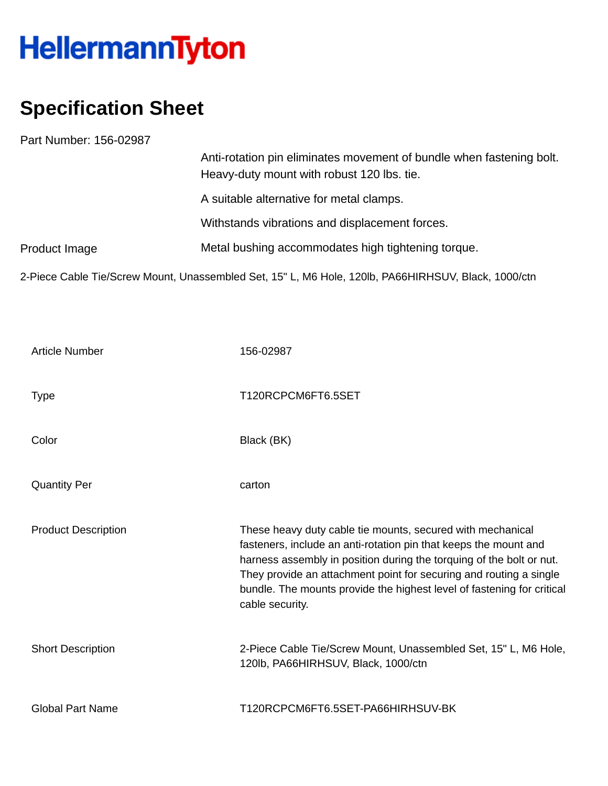## HellermannTyton

## **Specification Sheet**

Part Number: 156-02987

|               | Anti-rotation pin eliminates movement of bundle when fastening bolt.<br>Heavy-duty mount with robust 120 lbs. tie. |
|---------------|--------------------------------------------------------------------------------------------------------------------|
|               | A suitable alternative for metal clamps.                                                                           |
|               | Withstands vibrations and displacement forces.                                                                     |
| Product Image | Metal bushing accommodates high tightening torque.                                                                 |
|               | 2-Piece Cable Tie/Screw Mount, Unassembled Set, 15" L, M6 Hole, 120lb, PA66HIRHSUV, Black, 1000/ctn                |

| <b>Article Number</b>      | 156-02987                                                                                                                                                                                                                                                                                                                                                                 |
|----------------------------|---------------------------------------------------------------------------------------------------------------------------------------------------------------------------------------------------------------------------------------------------------------------------------------------------------------------------------------------------------------------------|
| <b>Type</b>                | T120RCPCM6FT6.5SET                                                                                                                                                                                                                                                                                                                                                        |
| Color                      | Black (BK)                                                                                                                                                                                                                                                                                                                                                                |
| <b>Quantity Per</b>        | carton                                                                                                                                                                                                                                                                                                                                                                    |
| <b>Product Description</b> | These heavy duty cable tie mounts, secured with mechanical<br>fasteners, include an anti-rotation pin that keeps the mount and<br>harness assembly in position during the torquing of the bolt or nut.<br>They provide an attachment point for securing and routing a single<br>bundle. The mounts provide the highest level of fastening for critical<br>cable security. |
| <b>Short Description</b>   | 2-Piece Cable Tie/Screw Mount, Unassembled Set, 15" L, M6 Hole,<br>120lb, PA66HIRHSUV, Black, 1000/ctn                                                                                                                                                                                                                                                                    |
| <b>Global Part Name</b>    | T120RCPCM6FT6.5SET-PA66HIRHSUV-BK                                                                                                                                                                                                                                                                                                                                         |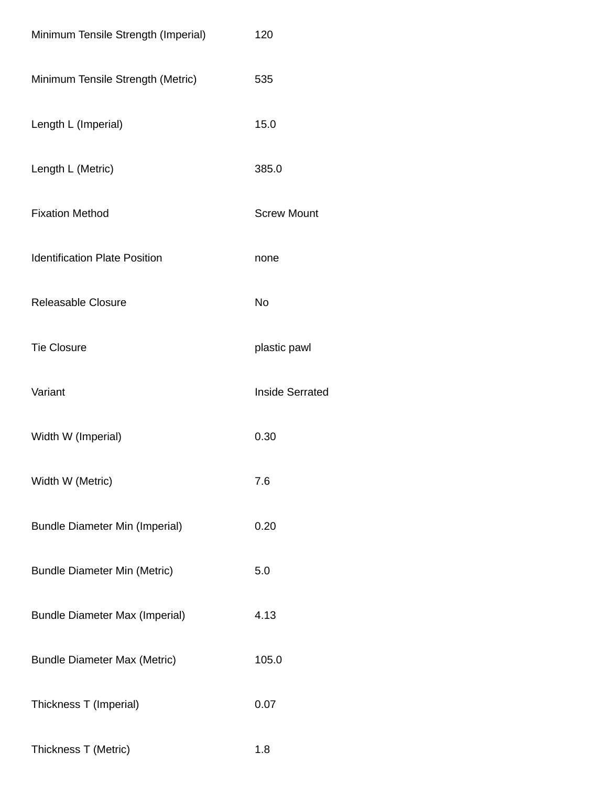| Minimum Tensile Strength (Imperial)   | 120                    |
|---------------------------------------|------------------------|
| Minimum Tensile Strength (Metric)     | 535                    |
| Length L (Imperial)                   | 15.0                   |
| Length L (Metric)                     | 385.0                  |
| <b>Fixation Method</b>                | <b>Screw Mount</b>     |
| <b>Identification Plate Position</b>  | none                   |
| Releasable Closure                    | No                     |
| <b>Tie Closure</b>                    | plastic pawl           |
| Variant                               | <b>Inside Serrated</b> |
| Width W (Imperial)                    | 0.30                   |
| Width W (Metric)                      | 7.6                    |
| <b>Bundle Diameter Min (Imperial)</b> | 0.20                   |
| <b>Bundle Diameter Min (Metric)</b>   | 5.0                    |
| <b>Bundle Diameter Max (Imperial)</b> | 4.13                   |
| <b>Bundle Diameter Max (Metric)</b>   | 105.0                  |
| Thickness T (Imperial)                | 0.07                   |
| Thickness T (Metric)                  | 1.8                    |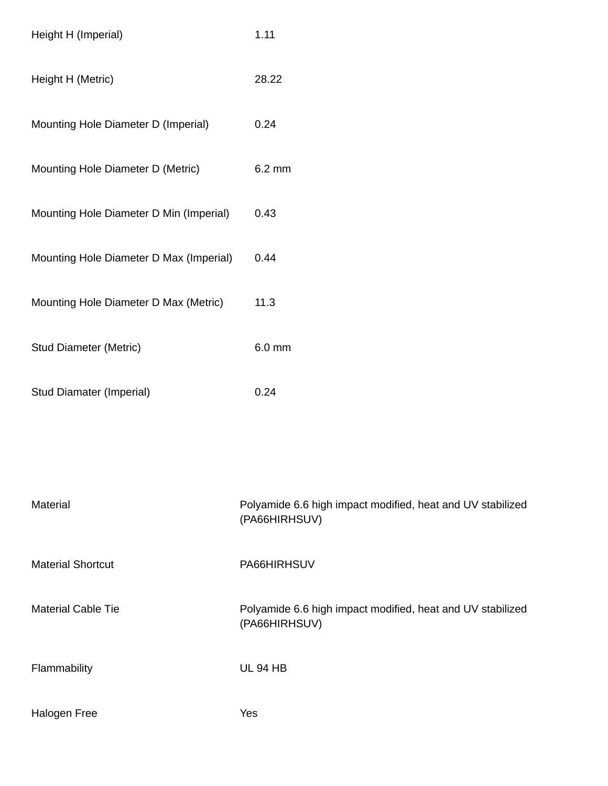| Height H (Imperial)                     | 1.11                                                                        |
|-----------------------------------------|-----------------------------------------------------------------------------|
| Height H (Metric)                       | 28.22                                                                       |
| Mounting Hole Diameter D (Imperial)     | 0.24                                                                        |
| Mounting Hole Diameter D (Metric)       | 6.2 mm                                                                      |
| Mounting Hole Diameter D Min (Imperial) | 0.43                                                                        |
| Mounting Hole Diameter D Max (Imperial) | 0.44                                                                        |
| Mounting Hole Diameter D Max (Metric)   | 11.3                                                                        |
| <b>Stud Diameter (Metric)</b>           | 6.0 mm                                                                      |
| <b>Stud Diamater (Imperial)</b>         | 0.24                                                                        |
|                                         |                                                                             |
|                                         |                                                                             |
| Material                                | Polyamide 6.6 high impact modified, heat and UV stabilized<br>(PA66HIRHSUV) |
| <b>Material Shortcut</b>                | PA66HIRHSUV                                                                 |
| <b>Material Cable Tie</b>               | Polyamide 6.6 high impact modified, heat and UV stabilized<br>(PA66HIRHSUV) |
| Flammability                            | <b>UL 94 HB</b>                                                             |
| Halogen Free                            | Yes                                                                         |